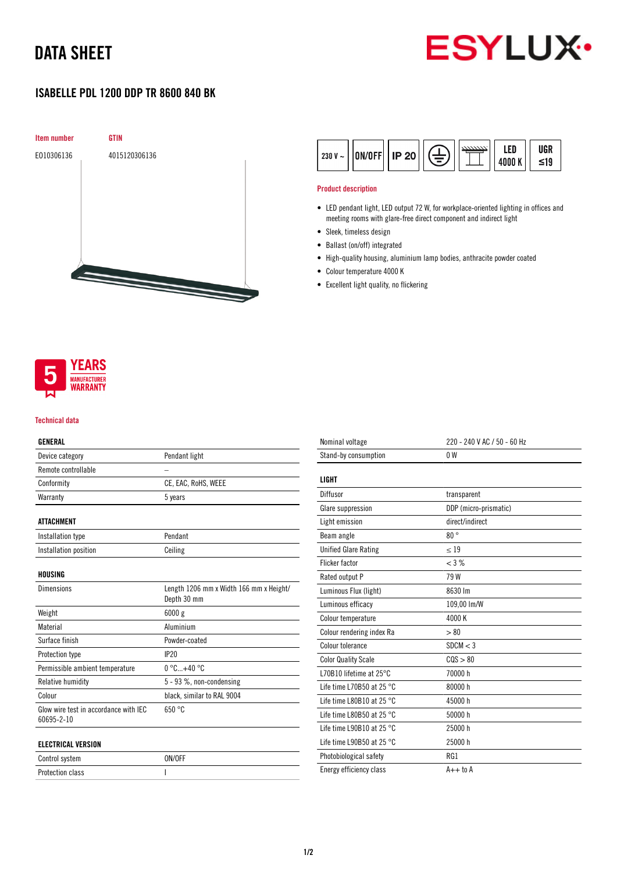# DATA SHEET



## ISABELLE PDL 1200 DDP TR 8600 840 BK



|  | $\frac{1}{230}$ V ~ $\left \left 0N/0FF\right \right $ IP 20 $\left \left(\frac{1}{2}\right)\right \right $ $\left \frac{122230}{1000}$ K $\left \left \right \right $ var |  |  |  | ≤19 |
|--|----------------------------------------------------------------------------------------------------------------------------------------------------------------------------|--|--|--|-----|
|--|----------------------------------------------------------------------------------------------------------------------------------------------------------------------------|--|--|--|-----|

### Product description

- LED pendant light, LED output 72 W, for workplace-oriented lighting in offices and meeting rooms with glare-free direct component and indirect light
- Sleek, timeless design
- Ballast (on/off) integrated
- High-quality housing, aluminium lamp bodies, anthracite powder coated
- Colour temperature 4000 K
- Excellent light quality, no flickering



#### Technical data

### GENERAL

| Device category                                     | Pendant light                                          |  |
|-----------------------------------------------------|--------------------------------------------------------|--|
| Remote controllable                                 |                                                        |  |
| Conformity                                          | CE, EAC, RoHS, WEEE                                    |  |
| Warranty                                            | 5 years                                                |  |
| <b>ATTACHMENT</b>                                   |                                                        |  |
| Installation type                                   | Pendant                                                |  |
| Installation position                               | Ceiling                                                |  |
| HOUSING                                             |                                                        |  |
| <b>Dimensions</b>                                   | Length 1206 mm x Width 166 mm x Height/<br>Depth 30 mm |  |
| Weight                                              | 6000 g                                                 |  |
| Material                                            | Aluminium                                              |  |
| Surface finish                                      | Powder-coated                                          |  |
| Protection type                                     | <b>IP20</b>                                            |  |
| Permissible ambient temperature                     | $0^{\circ}$ C+40 $^{\circ}$ C                          |  |
| Relative humidity                                   | 5 - 93 %, non-condensing                               |  |
| Colour                                              | black, similar to RAL 9004                             |  |
| Glow wire test in accordance with IEC<br>60695-2-10 | 650 °C                                                 |  |
| <b>ELECTRICAL VERSION</b>                           |                                                        |  |

| Control system   | ON/OFF |
|------------------|--------|
| Protection class |        |

| Nominal voltage                     | 220 - 240 V AC / 50 - 60 Hz |  |  |
|-------------------------------------|-----------------------------|--|--|
| Stand-by consumption                | 0 <sup>W</sup>              |  |  |
| LIGHT                               |                             |  |  |
| Diffusor                            | transparent                 |  |  |
| Glare suppression                   | DDP (micro-prismatic)       |  |  |
| Light emission                      | direct/indirect             |  |  |
| Beam angle                          | 80°                         |  |  |
| <b>Unified Glare Rating</b>         | $\leq 19$                   |  |  |
| <b>Flicker factor</b>               | $<$ 3 %                     |  |  |
| Rated output P                      | 79W                         |  |  |
| Luminous Flux (light)               | 8630 lm                     |  |  |
| Luminous efficacy                   | 109,00 lm/W                 |  |  |
| Colour temperature                  | 4000 K                      |  |  |
| Colour rendering index Ra           | > 80                        |  |  |
| Colour tolerance                    | SDCM < 3                    |  |  |
| <b>Color Quality Scale</b>          | COS > 80                    |  |  |
| L70B10 lifetime at $25^{\circ}$ C   | 70000 h                     |  |  |
| Life time L70B50 at 25 $^{\circ}$ C | 80000 h                     |  |  |
| Life time L80B10 at 25 $^{\circ}$ C | 45000 h                     |  |  |
| Life time L80B50 at 25 $^{\circ}$ C | 50000 h                     |  |  |
| Life time L90B10 at 25 $^{\circ}$ C | 25000 h                     |  |  |
| Life time L90B50 at 25 $^{\circ}$ C | 25000 h                     |  |  |
| Photobiological safety              | RG1                         |  |  |
| Energy efficiency class             | $A++$ to $A$                |  |  |
|                                     |                             |  |  |